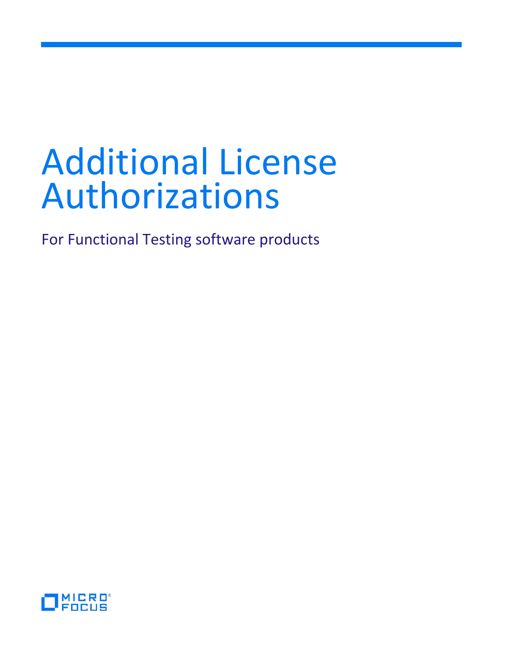# Additional License Authorizations

For Functional Testing software products

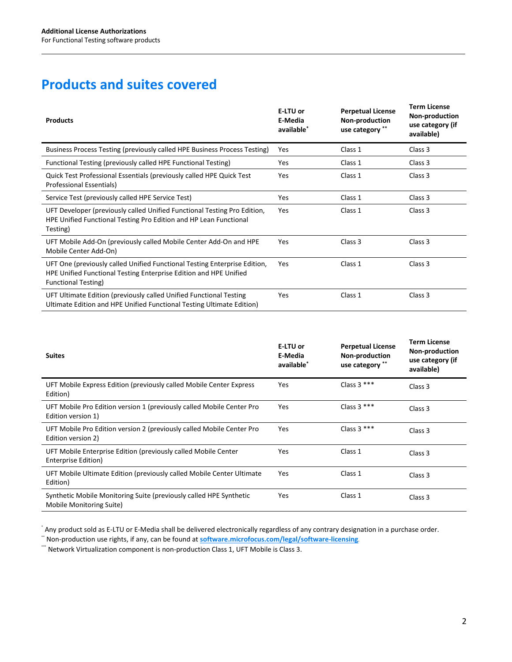## **Products and suites covered**

| <b>Products</b>                                                                                                                                                              | E-LTU or<br>E-Media<br>available* | <b>Perpetual License</b><br>Non-production<br>use category ** | <b>Term License</b><br>Non-production<br>use category (if<br>available) |
|------------------------------------------------------------------------------------------------------------------------------------------------------------------------------|-----------------------------------|---------------------------------------------------------------|-------------------------------------------------------------------------|
| Business Process Testing (previously called HPE Business Process Testing)                                                                                                    | Yes                               | Class 1                                                       | Class 3                                                                 |
| Functional Testing (previously called HPE Functional Testing)                                                                                                                | Yes                               | Class 1                                                       | Class 3                                                                 |
| Quick Test Professional Essentials (previously called HPE Quick Test<br>Professional Essentials)                                                                             | Yes                               | Class 1                                                       | Class 3                                                                 |
| Service Test (previously called HPE Service Test)                                                                                                                            | Yes                               | Class 1                                                       | Class 3                                                                 |
| UFT Developer (previously called Unified Functional Testing Pro Edition,<br>HPE Unified Functional Testing Pro Edition and HP Lean Functional<br>Testing)                    | Yes                               | Class 1                                                       | Class 3                                                                 |
| UFT Mobile Add-On (previously called Mobile Center Add-On and HPE<br>Mobile Center Add-On)                                                                                   | Yes                               | Class 3                                                       | Class 3                                                                 |
| UFT One (previously called Unified Functional Testing Enterprise Edition,<br>HPE Unified Functional Testing Enterprise Edition and HPE Unified<br><b>Functional Testing)</b> | Yes                               | Class 1                                                       | Class 3                                                                 |
| UFT Ultimate Edition (previously called Unified Functional Testing<br>Ultimate Edition and HPE Unified Functional Testing Ultimate Edition)                                  | Yes                               | Class 1                                                       | Class 3                                                                 |

| <b>Suites</b>                                                                                  | E-LTU or<br>E-Media<br>available <sup>*</sup> | <b>Perpetual License</b><br>Non-production<br>use category ** | <b>Term License</b><br>Non-production<br>use category (if<br>available) |
|------------------------------------------------------------------------------------------------|-----------------------------------------------|---------------------------------------------------------------|-------------------------------------------------------------------------|
| UFT Mobile Express Edition (previously called Mobile Center Express<br>Edition)                | Yes                                           | Class $3***$                                                  | Class 3                                                                 |
| UFT Mobile Pro Edition version 1 (previously called Mobile Center Pro<br>Edition version 1)    | Yes                                           | Class $3***$                                                  | Class 3                                                                 |
| UFT Mobile Pro Edition version 2 (previously called Mobile Center Pro<br>Edition version 2)    | Yes                                           | Class $3***$                                                  | Class 3                                                                 |
| UFT Mobile Enterprise Edition (previously called Mobile Center<br>Enterprise Edition)          | Yes                                           | Class 1                                                       | Class 3                                                                 |
| UFT Mobile Ultimate Edition (previously called Mobile Center Ultimate<br>Edition)              | Yes                                           | Class 1                                                       | Class 3                                                                 |
| Synthetic Mobile Monitoring Suite (previously called HPE Synthetic<br>Mobile Monitoring Suite) | Yes                                           | Class 1                                                       | Class 3                                                                 |

\* Any product sold as E-LTU or E-Media shall be delivered electronically regardless of any contrary designation in a purchase order.

\*\* Non-production use rights, if any, can be found at **[software.microfocus.com/legal/software-licensing](https://software.microfocus.com/legal/software-licensing)**.

\*\*\* Network Virtualization component is non-production Class 1, UFT Mobile is Class 3.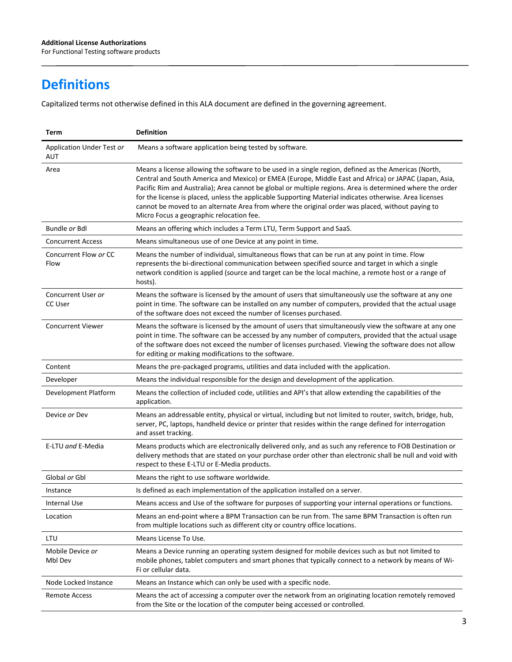# **Definitions**

Capitalized terms not otherwise defined in this ALA document are defined in the governing agreement.

| Term                                    | <b>Definition</b>                                                                                                                                                                                                                                                                                                                                                                                                                                                                                                                                                                     |
|-----------------------------------------|---------------------------------------------------------------------------------------------------------------------------------------------------------------------------------------------------------------------------------------------------------------------------------------------------------------------------------------------------------------------------------------------------------------------------------------------------------------------------------------------------------------------------------------------------------------------------------------|
| Application Under Test or<br><b>AUT</b> | Means a software application being tested by software.                                                                                                                                                                                                                                                                                                                                                                                                                                                                                                                                |
| Area                                    | Means a license allowing the software to be used in a single region, defined as the Americas (North,<br>Central and South America and Mexico) or EMEA (Europe, Middle East and Africa) or JAPAC (Japan, Asia,<br>Pacific Rim and Australia); Area cannot be global or multiple regions. Area is determined where the order<br>for the license is placed, unless the applicable Supporting Material indicates otherwise. Area licenses<br>cannot be moved to an alternate Area from where the original order was placed, without paying to<br>Micro Focus a geographic relocation fee. |
| Bundle or Bdl                           | Means an offering which includes a Term LTU, Term Support and SaaS.                                                                                                                                                                                                                                                                                                                                                                                                                                                                                                                   |
| <b>Concurrent Access</b>                | Means simultaneous use of one Device at any point in time.                                                                                                                                                                                                                                                                                                                                                                                                                                                                                                                            |
| Concurrent Flow or CC<br>Flow           | Means the number of individual, simultaneous flows that can be run at any point in time. Flow<br>represents the bi-directional communication between specified source and target in which a single<br>network condition is applied (source and target can be the local machine, a remote host or a range of<br>hosts).                                                                                                                                                                                                                                                                |
| Concurrent User or<br>CC User           | Means the software is licensed by the amount of users that simultaneously use the software at any one<br>point in time. The software can be installed on any number of computers, provided that the actual usage<br>of the software does not exceed the number of licenses purchased.                                                                                                                                                                                                                                                                                                 |
| <b>Concurrent Viewer</b>                | Means the software is licensed by the amount of users that simultaneously view the software at any one<br>point in time. The software can be accessed by any number of computers, provided that the actual usage<br>of the software does not exceed the number of licenses purchased. Viewing the software does not allow<br>for editing or making modifications to the software.                                                                                                                                                                                                     |
| Content                                 | Means the pre-packaged programs, utilities and data included with the application.                                                                                                                                                                                                                                                                                                                                                                                                                                                                                                    |
| Developer                               | Means the individual responsible for the design and development of the application.                                                                                                                                                                                                                                                                                                                                                                                                                                                                                                   |
| Development Platform                    | Means the collection of included code, utilities and API's that allow extending the capabilities of the<br>application.                                                                                                                                                                                                                                                                                                                                                                                                                                                               |
| Device or Dev                           | Means an addressable entity, physical or virtual, including but not limited to router, switch, bridge, hub,<br>server, PC, laptops, handheld device or printer that resides within the range defined for interrogation<br>and asset tracking.                                                                                                                                                                                                                                                                                                                                         |
| E-LTU and E-Media                       | Means products which are electronically delivered only, and as such any reference to FOB Destination or<br>delivery methods that are stated on your purchase order other than electronic shall be null and void with<br>respect to these E-LTU or E-Media products.                                                                                                                                                                                                                                                                                                                   |
| Global or Gbl                           | Means the right to use software worldwide.                                                                                                                                                                                                                                                                                                                                                                                                                                                                                                                                            |
| Instance                                | Is defined as each implementation of the application installed on a server.                                                                                                                                                                                                                                                                                                                                                                                                                                                                                                           |
| Internal Use                            | Means access and Use of the software for purposes of supporting your internal operations or functions.                                                                                                                                                                                                                                                                                                                                                                                                                                                                                |
| Location                                | Means an end-point where a BPM Transaction can be run from. The same BPM Transaction is often run<br>from multiple locations such as different city or country office locations.                                                                                                                                                                                                                                                                                                                                                                                                      |
| LTU                                     | Means License To Use.                                                                                                                                                                                                                                                                                                                                                                                                                                                                                                                                                                 |
| Mobile Device or<br>Mbl Dev             | Means a Device running an operating system designed for mobile devices such as but not limited to<br>mobile phones, tablet computers and smart phones that typically connect to a network by means of Wi-<br>Fi or cellular data.                                                                                                                                                                                                                                                                                                                                                     |
| Node Locked Instance                    | Means an Instance which can only be used with a specific node.                                                                                                                                                                                                                                                                                                                                                                                                                                                                                                                        |
| Remote Access                           | Means the act of accessing a computer over the network from an originating location remotely removed<br>from the Site or the location of the computer being accessed or controlled.                                                                                                                                                                                                                                                                                                                                                                                                   |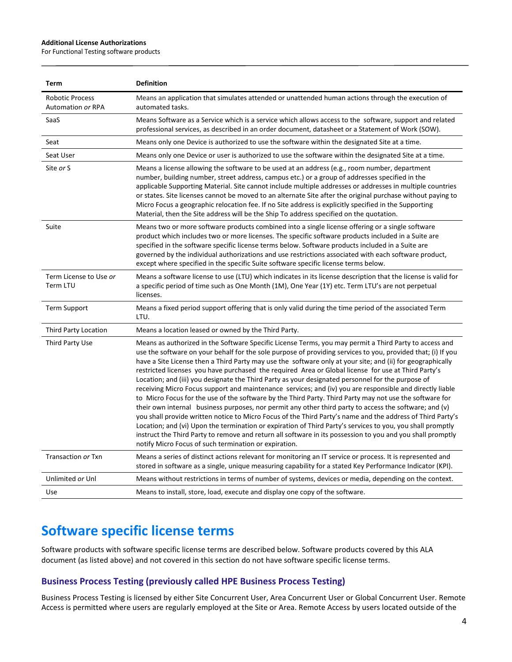#### **Additional License Authorizations**

For Functional Testing software products

| <b>Term</b>                                        | <b>Definition</b>                                                                                                                                                                                                                                                                                                                                                                                                                                                                                                                                                                                                                                                                                                                                                                                                                                                                                                                                                                                                                                                                                                                                                                                                                                                                    |
|----------------------------------------------------|--------------------------------------------------------------------------------------------------------------------------------------------------------------------------------------------------------------------------------------------------------------------------------------------------------------------------------------------------------------------------------------------------------------------------------------------------------------------------------------------------------------------------------------------------------------------------------------------------------------------------------------------------------------------------------------------------------------------------------------------------------------------------------------------------------------------------------------------------------------------------------------------------------------------------------------------------------------------------------------------------------------------------------------------------------------------------------------------------------------------------------------------------------------------------------------------------------------------------------------------------------------------------------------|
| <b>Robotic Process</b><br><b>Automation or RPA</b> | Means an application that simulates attended or unattended human actions through the execution of<br>automated tasks.                                                                                                                                                                                                                                                                                                                                                                                                                                                                                                                                                                                                                                                                                                                                                                                                                                                                                                                                                                                                                                                                                                                                                                |
| SaaS                                               | Means Software as a Service which is a service which allows access to the software, support and related<br>professional services, as described in an order document, datasheet or a Statement of Work (SOW).                                                                                                                                                                                                                                                                                                                                                                                                                                                                                                                                                                                                                                                                                                                                                                                                                                                                                                                                                                                                                                                                         |
| Seat                                               | Means only one Device is authorized to use the software within the designated Site at a time.                                                                                                                                                                                                                                                                                                                                                                                                                                                                                                                                                                                                                                                                                                                                                                                                                                                                                                                                                                                                                                                                                                                                                                                        |
| Seat User                                          | Means only one Device or user is authorized to use the software within the designated Site at a time.                                                                                                                                                                                                                                                                                                                                                                                                                                                                                                                                                                                                                                                                                                                                                                                                                                                                                                                                                                                                                                                                                                                                                                                |
| Site or S                                          | Means a license allowing the software to be used at an address (e.g., room number, department<br>number, building number, street address, campus etc.) or a group of addresses specified in the<br>applicable Supporting Material. Site cannot include multiple addresses or addresses in multiple countries<br>or states. Site licenses cannot be moved to an alternate Site after the original purchase without paying to<br>Micro Focus a geographic relocation fee. If no Site address is explicitly specified in the Supporting<br>Material, then the Site address will be the Ship To address specified on the quotation.                                                                                                                                                                                                                                                                                                                                                                                                                                                                                                                                                                                                                                                      |
| Suite                                              | Means two or more software products combined into a single license offering or a single software<br>product which includes two or more licenses. The specific software products included in a Suite are<br>specified in the software specific license terms below. Software products included in a Suite are<br>governed by the individual authorizations and use restrictions associated with each software product,<br>except where specified in the specific Suite software specific license terms below.                                                                                                                                                                                                                                                                                                                                                                                                                                                                                                                                                                                                                                                                                                                                                                         |
| Term License to Use or<br>Term LTU                 | Means a software license to use (LTU) which indicates in its license description that the license is valid for<br>a specific period of time such as One Month (1M), One Year (1Y) etc. Term LTU's are not perpetual<br>licenses.                                                                                                                                                                                                                                                                                                                                                                                                                                                                                                                                                                                                                                                                                                                                                                                                                                                                                                                                                                                                                                                     |
| <b>Term Support</b>                                | Means a fixed period support offering that is only valid during the time period of the associated Term<br>LTU.                                                                                                                                                                                                                                                                                                                                                                                                                                                                                                                                                                                                                                                                                                                                                                                                                                                                                                                                                                                                                                                                                                                                                                       |
| <b>Third Party Location</b>                        | Means a location leased or owned by the Third Party.                                                                                                                                                                                                                                                                                                                                                                                                                                                                                                                                                                                                                                                                                                                                                                                                                                                                                                                                                                                                                                                                                                                                                                                                                                 |
| Third Party Use                                    | Means as authorized in the Software Specific License Terms, you may permit a Third Party to access and<br>use the software on your behalf for the sole purpose of providing services to you, provided that; (i) If you<br>have a Site License then a Third Party may use the software only at your site; and (ii) for geographically<br>restricted licenses you have purchased the required Area or Global license for use at Third Party's<br>Location; and (iii) you designate the Third Party as your designated personnel for the purpose of<br>receiving Micro Focus support and maintenance services; and (iv) you are responsible and directly liable<br>to Micro Focus for the use of the software by the Third Party. Third Party may not use the software for<br>their own internal business purposes, nor permit any other third party to access the software; and (v)<br>you shall provide written notice to Micro Focus of the Third Party's name and the address of Third Party's<br>Location; and (vi) Upon the termination or expiration of Third Party's services to you, you shall promptly<br>instruct the Third Party to remove and return all software in its possession to you and you shall promptly<br>notify Micro Focus of such termination or expiration. |
| Transaction or Txn                                 | Means a series of distinct actions relevant for monitoring an IT service or process. It is represented and<br>stored in software as a single, unique measuring capability for a stated Key Performance Indicator (KPI).                                                                                                                                                                                                                                                                                                                                                                                                                                                                                                                                                                                                                                                                                                                                                                                                                                                                                                                                                                                                                                                              |
| Unlimited or Unl                                   | Means without restrictions in terms of number of systems, devices or media, depending on the context.                                                                                                                                                                                                                                                                                                                                                                                                                                                                                                                                                                                                                                                                                                                                                                                                                                                                                                                                                                                                                                                                                                                                                                                |
| Use                                                | Means to install, store, load, execute and display one copy of the software.                                                                                                                                                                                                                                                                                                                                                                                                                                                                                                                                                                                                                                                                                                                                                                                                                                                                                                                                                                                                                                                                                                                                                                                                         |

## **Software specific license terms**

Software products with software specific license terms are described below. Software products covered by this ALA document (as listed above) and not covered in this section do not have software specific license terms.

#### **Business Process Testing (previously called HPE Business Process Testing)**

Business Process Testing is licensed by either Site Concurrent User, Area Concurrent User or Global Concurrent User. Remote Access is permitted where users are regularly employed at the Site or Area. Remote Access by users located outside of the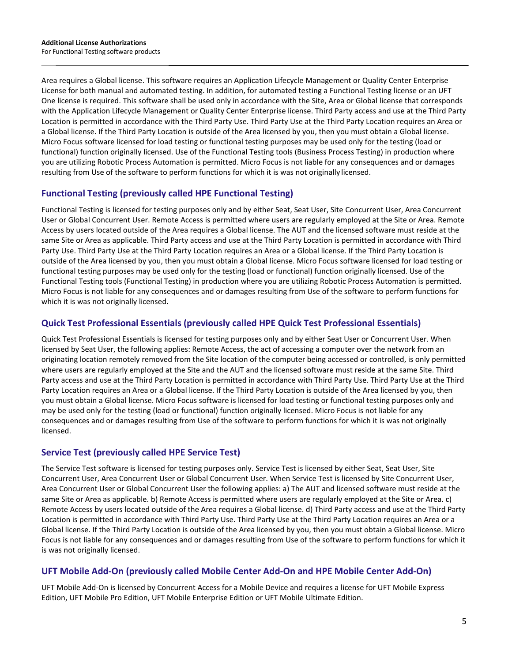Area requires a Global license. This software requires an Application Lifecycle Management or Quality Center Enterprise License for both manual and automated testing. In addition, for automated testing a Functional Testing license or an UFT One license is required. This software shall be used only in accordance with the Site, Area or Global license that corresponds with the Application Lifecycle Management or Quality Center Enterprise license. Third Party access and use at the Third Party Location is permitted in accordance with the Third Party Use. Third Party Use at the Third Party Location requires an Area or a Global license. If the Third Party Location is outside of the Area licensed by you, then you must obtain a Global license. Micro Focus software licensed for load testing or functional testing purposes may be used only for the testing (load or functional) function originally licensed. Use of the Functional Testing tools (Business Process Testing) in production where you are utilizing Robotic Process Automation is permitted. Micro Focus is not liable for any consequences and or damages resulting from Use of the software to perform functions for which it is was not originally licensed.

## **Functional Testing (previously called HPE Functional Testing)**

Functional Testing is licensed for testing purposes only and by either Seat, Seat User, Site Concurrent User, Area Concurrent User or Global Concurrent User. Remote Access is permitted where users are regularly employed at the Site or Area. Remote Access by users located outside of the Area requires a Global license. The AUT and the licensed software must reside at the same Site or Area as applicable. Third Party access and use at the Third Party Location is permitted in accordance with Third Party Use. Third Party Use at the Third Party Location requires an Area or a Global license. If the Third Party Location is outside of the Area licensed by you, then you must obtain a Global license. Micro Focus software licensed for load testing or functional testing purposes may be used only for the testing (load or functional) function originally licensed. Use of the Functional Testing tools (Functional Testing) in production where you are utilizing Robotic Process Automation is permitted. Micro Focus is not liable for any consequences and or damages resulting from Use of the software to perform functions for which it is was not originally licensed.

## **Quick Test Professional Essentials (previously called HPE Quick Test Professional Essentials)**

Quick Test Professional Essentials is licensed for testing purposes only and by either Seat User or Concurrent User. When licensed by Seat User, the following applies: Remote Access, the act of accessing a computer over the network from an originating location remotely removed from the Site location of the computer being accessed or controlled, is only permitted where users are regularly employed at the Site and the AUT and the licensed software must reside at the same Site. Third Party access and use at the Third Party Location is permitted in accordance with Third Party Use. Third Party Use at the Third Party Location requires an Area or a Global license. If the Third Party Location is outside of the Area licensed by you, then you must obtain a Global license. Micro Focus software is licensed for load testing or functional testing purposes only and may be used only for the testing (load or functional) function originally licensed. Micro Focus is not liable for any consequences and or damages resulting from Use of the software to perform functions for which it is was not originally licensed.

#### **Service Test (previously called HPE Service Test)**

The Service Test software is licensed for testing purposes only. Service Test is licensed by either Seat, Seat User, Site Concurrent User, Area Concurrent User or Global Concurrent User. When Service Test is licensed by Site Concurrent User, Area Concurrent User or Global Concurrent User the following applies: a) The AUT and licensed software must reside at the same Site or Area as applicable. b) Remote Access is permitted where users are regularly employed at the Site or Area. c) Remote Access by users located outside of the Area requires a Global license. d) Third Party access and use at the Third Party Location is permitted in accordance with Third Party Use. Third Party Use at the Third Party Location requires an Area or a Global license. If the Third Party Location is outside of the Area licensed by you, then you must obtain a Global license. Micro Focus is not liable for any consequences and or damages resulting from Use of the software to perform functions for which it is was not originally licensed.

#### **UFT Mobile Add-On (previously called Mobile Center Add-On and HPE Mobile Center Add-On)**

UFT Mobile Add-On is licensed by Concurrent Access for a Mobile Device and requires a license for UFT Mobile Express Edition, UFT Mobile Pro Edition, UFT Mobile Enterprise Edition or UFT Mobile Ultimate Edition.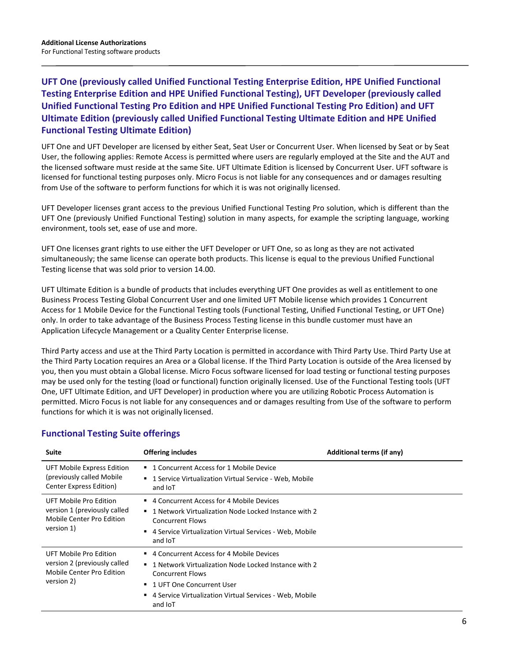**UFT One (previously called Unified Functional Testing Enterprise Edition, HPE Unified Functional Testing Enterprise Edition and HPE Unified Functional Testing), UFT Developer (previously called Unified Functional Testing Pro Edition and HPE Unified Functional Testing Pro Edition) and UFT Ultimate Edition (previously called Unified Functional Testing Ultimate Edition and HPE Unified Functional Testing Ultimate Edition)**

UFT One and UFT Developer are licensed by either Seat, Seat User or Concurrent User. When licensed by Seat or by Seat User, the following applies: Remote Access is permitted where users are regularly employed at the Site and the AUT and the licensed software must reside at the same Site. UFT Ultimate Edition is licensed by Concurrent User. UFT software is licensed for functional testing purposes only. Micro Focus is not liable for any consequences and or damages resulting from Use of the software to perform functions for which it is was not originally licensed.

UFT Developer licenses grant access to the previous Unified Functional Testing Pro solution, which is different than the UFT One (previously Unified Functional Testing) solution in many aspects, for example the scripting language, working environment, tools set, ease of use and more.

UFT One licenses grant rights to use either the UFT Developer or UFT One, so as long as they are not activated simultaneously; the same license can operate both products. This license is equal to the previous Unified Functional Testing license that was sold prior to version 14.00.

UFT Ultimate Edition is a bundle of products that includes everything UFT One provides as well as entitlement to one Business Process Testing Global Concurrent User and one limited UFT Mobile license which provides 1 Concurrent Access for 1 Mobile Device for the Functional Testing tools (Functional Testing, Unified Functional Testing, or UFT One) only. In order to take advantage of the Business Process Testing license in this bundle customer must have an Application Lifecycle Management or a Quality Center Enterprise license.

Third Party access and use at the Third Party Location is permitted in accordance with Third Party Use. Third Party Use at the Third Party Location requires an Area or a Global license. If the Third Party Location is outside of the Area licensed by you, then you must obtain a Global license. Micro Focus software licensed for load testing or functional testing purposes may be used only for the testing (load or functional) function originally licensed. Use of the Functional Testing tools (UFT One, UFT Ultimate Edition, and UFT Developer) in production where you are utilizing Robotic Process Automation is permitted. Micro Focus is not liable for any consequences and or damages resulting from Use of the software to perform functions for which it is was not originally licensed.

| Suite                                                                                             | <b>Offering includes</b>                                                                                                                                                                                                      | Additional terms (if any) |
|---------------------------------------------------------------------------------------------------|-------------------------------------------------------------------------------------------------------------------------------------------------------------------------------------------------------------------------------|---------------------------|
| UFT Mobile Express Edition<br>(previously called Mobile<br>Center Express Edition)                | ■ 1 Concurrent Access for 1 Mobile Device<br>■ 1 Service Virtualization Virtual Service - Web, Mobile<br>and IoT                                                                                                              |                           |
| UFT Mobile Pro Edition<br>version 1 (previously called<br>Mobile Center Pro Edition<br>version 1) | ■ 4 Concurrent Access for 4 Mobile Devices<br>■ 1 Network Virtualization Node Locked Instance with 2<br><b>Concurrent Flows</b><br>■ 4 Service Virtualization Virtual Services - Web, Mobile<br>and IoT                       |                           |
| UFT Mobile Pro Edition<br>version 2 (previously called<br>Mobile Center Pro Edition<br>version 2) | ■ 4 Concurrent Access for 4 Mobile Devices<br>■ 1 Network Virtualization Node Locked Instance with 2<br>Concurrent Flows<br>■ 1 UFT One Concurrent User<br>4 Service Virtualization Virtual Services - Web, Mobile<br>and IoT |                           |

## **Functional Testing Suite offerings**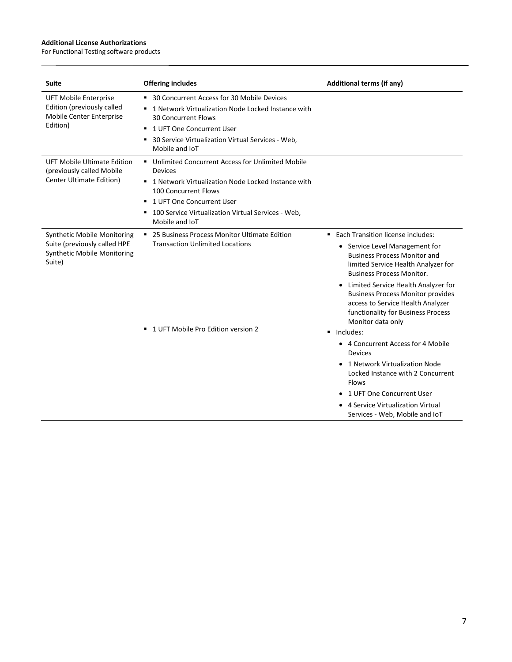#### **Additional License Authorizations**

For Functional Testing software products

| <b>Suite</b>                                                                                                | <b>Offering includes</b>                                                                                                                                                                                                                                             | <b>Additional terms (if any)</b>                                                                                                                                                                                                                                                                                                                        |
|-------------------------------------------------------------------------------------------------------------|----------------------------------------------------------------------------------------------------------------------------------------------------------------------------------------------------------------------------------------------------------------------|---------------------------------------------------------------------------------------------------------------------------------------------------------------------------------------------------------------------------------------------------------------------------------------------------------------------------------------------------------|
| <b>UFT Mobile Enterprise</b><br>Edition (previously called<br>Mobile Center Enterprise<br>Edition)          | ■ 30 Concurrent Access for 30 Mobile Devices<br>" 1 Network Virtualization Node Locked Instance with<br><b>30 Concurrent Flows</b><br>1 UFT One Concurrent User<br>٠<br>30 Service Virtualization Virtual Services - Web,<br>٠<br>Mobile and IoT                     |                                                                                                                                                                                                                                                                                                                                                         |
| UFT Mobile Ultimate Edition<br>(previously called Mobile<br>Center Ultimate Edition)                        | ■ Unlimited Concurrent Access for Unlimited Mobile<br><b>Devices</b><br>■ 1 Network Virtualization Node Locked Instance with<br>100 Concurrent Flows<br>1 UFT One Concurrent User<br>٠.<br>100 Service Virtualization Virtual Services - Web,<br>٠<br>Mobile and IoT |                                                                                                                                                                                                                                                                                                                                                         |
| <b>Synthetic Mobile Monitoring</b><br>Suite (previously called HPE<br>Synthetic Mobile Monitoring<br>Suite) | • 25 Business Process Monitor Ultimate Edition<br><b>Transaction Unlimited Locations</b>                                                                                                                                                                             | ■ Each Transition license includes:<br>• Service Level Management for<br><b>Business Process Monitor and</b><br>limited Service Health Analyzer for<br><b>Business Process Monitor.</b><br>• Limited Service Health Analyzer for<br><b>Business Process Monitor provides</b><br>access to Service Health Analyzer<br>functionality for Business Process |
|                                                                                                             | ■ 1 UFT Mobile Pro Edition version 2                                                                                                                                                                                                                                 | Monitor data only<br>Includes:<br>• 4 Concurrent Access for 4 Mobile<br><b>Devices</b><br>1 Network Virtualization Node<br>Locked Instance with 2 Concurrent<br><b>Flows</b><br>• 1 UFT One Concurrent User<br>4 Service Virtualization Virtual<br>Services - Web, Mobile and IoT                                                                       |